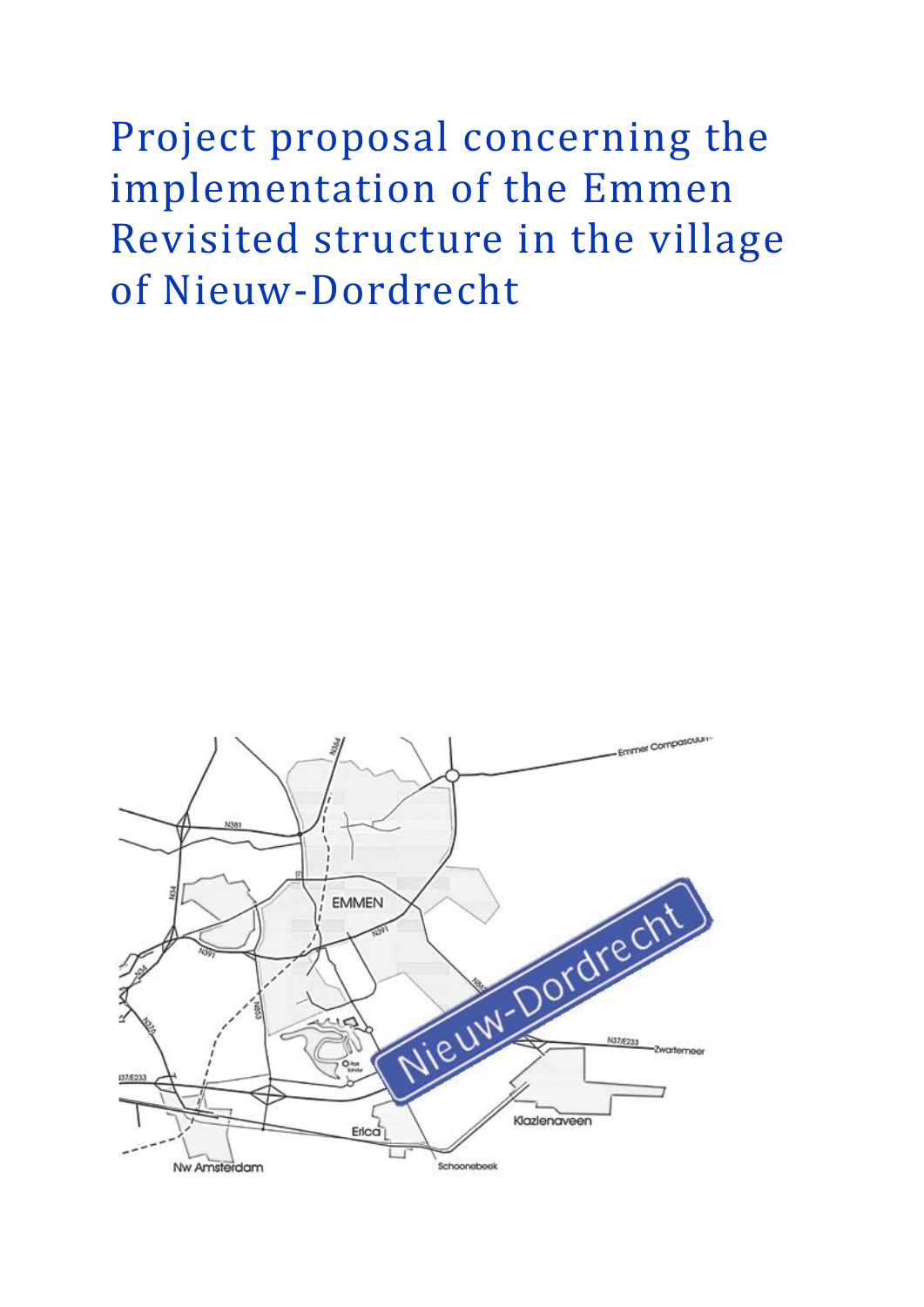Project proposal concerning the implementation of the Emmen Revisited structure in the village of Nieuw-Dordrecht

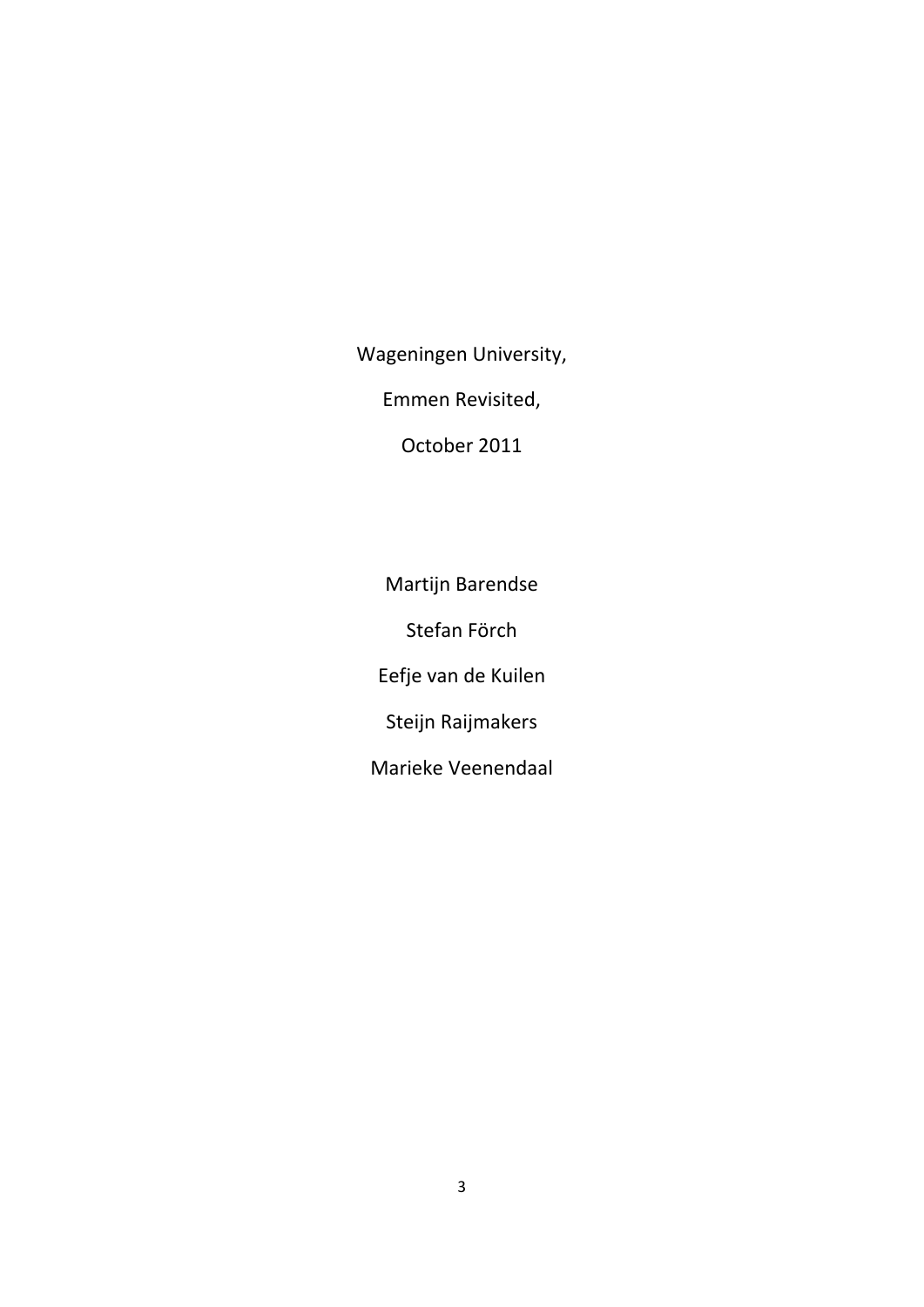Wageningen University,

Emmen Revisited,

October 2011

Martijn Barendse Stefan Förch Eefje van de Kuilen Steijn Raijmakers

Marieke Veenendaal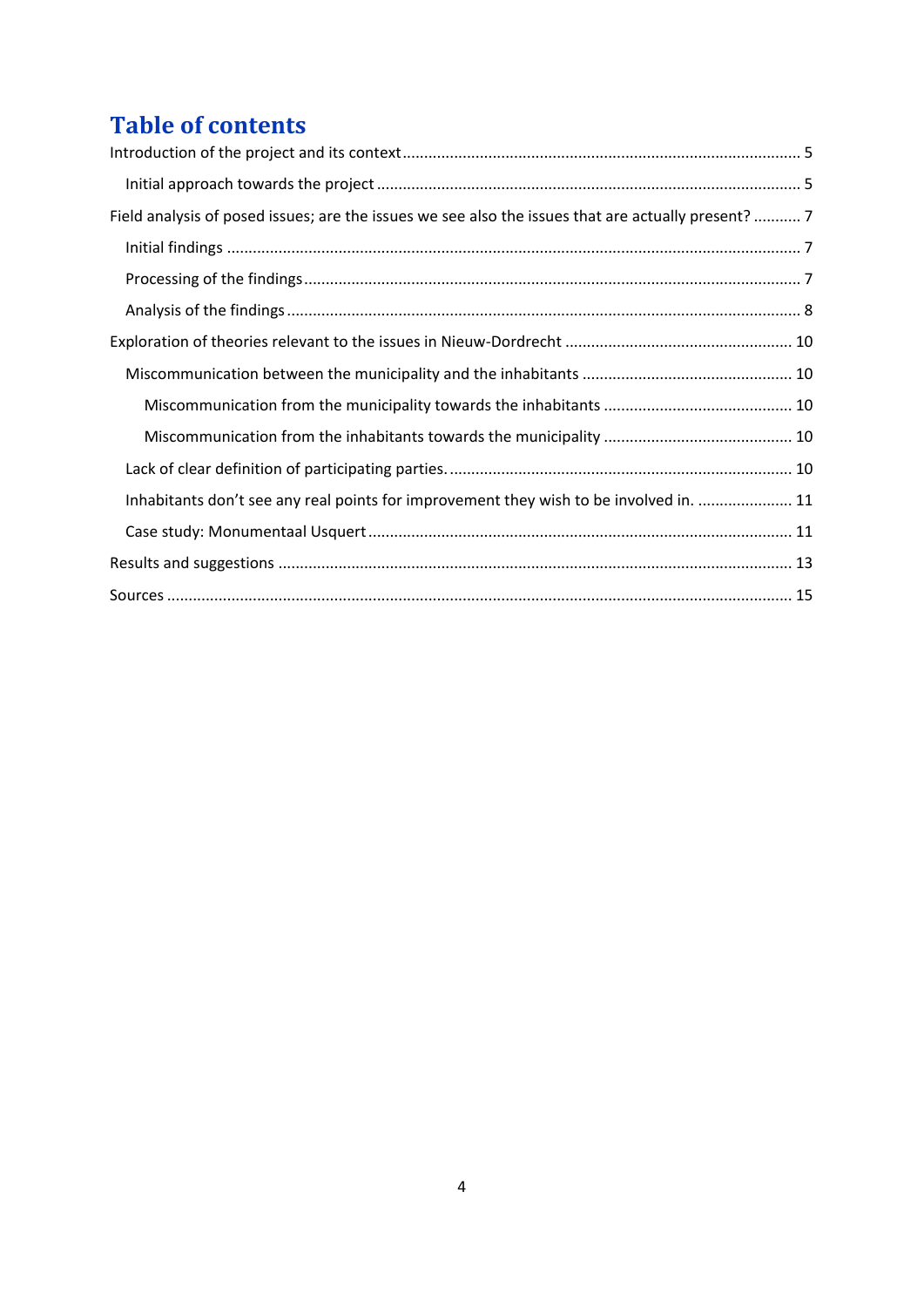# **Table of contents**

| Field analysis of posed issues; are the issues we see also the issues that are actually present? 7 |
|----------------------------------------------------------------------------------------------------|
|                                                                                                    |
|                                                                                                    |
|                                                                                                    |
|                                                                                                    |
|                                                                                                    |
|                                                                                                    |
|                                                                                                    |
|                                                                                                    |
| Inhabitants don't see any real points for improvement they wish to be involved in.  11             |
|                                                                                                    |
|                                                                                                    |
|                                                                                                    |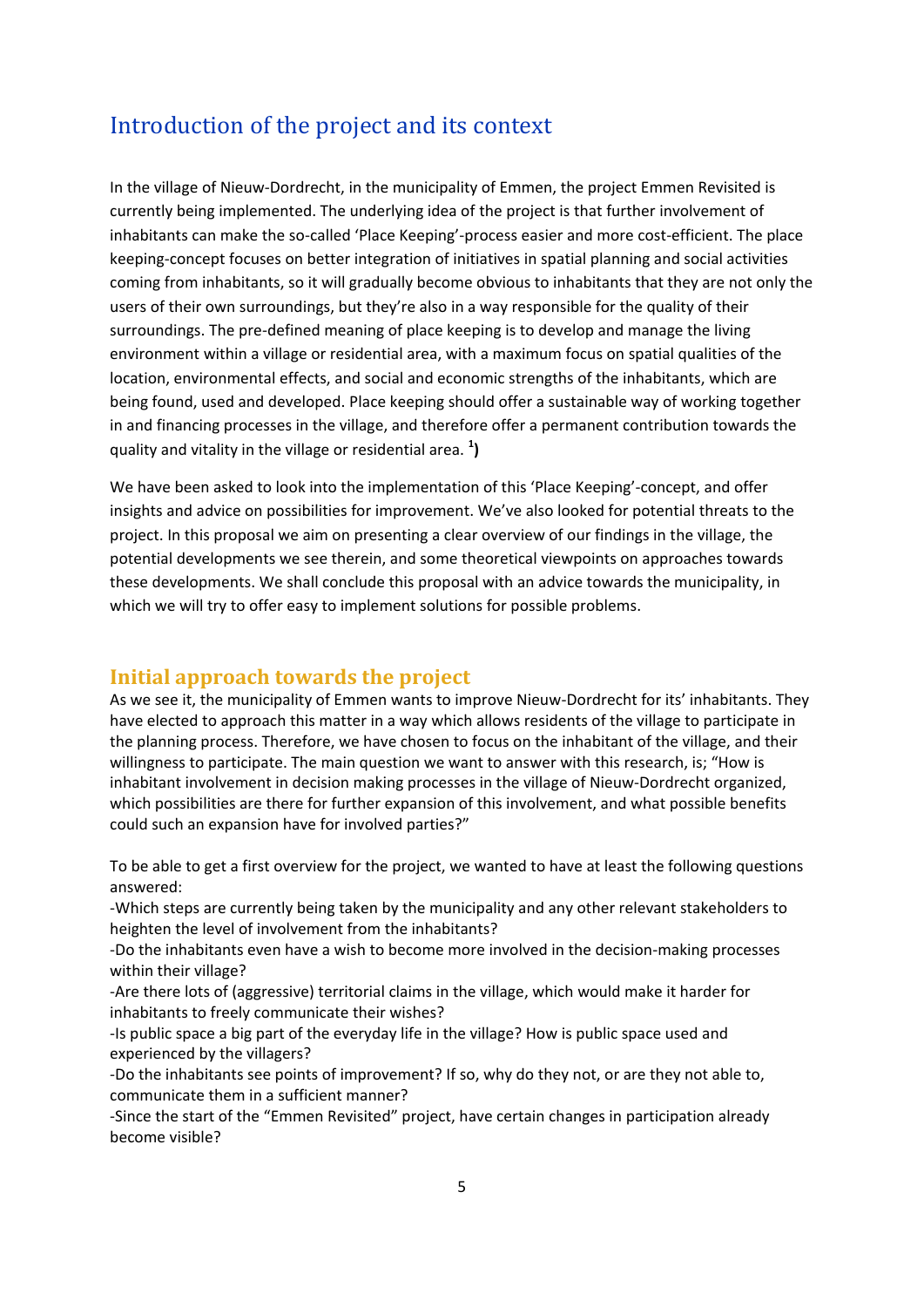# <span id="page-3-0"></span>Introduction of the project and its context

In the village of Nieuw-Dordrecht, in the municipality of Emmen, the project Emmen Revisited is currently being implemented. The underlying idea of the project is that further involvement of inhabitants can make the so-called 'Place Keeping'-process easier and more cost-efficient. The place keeping-concept focuses on better integration of initiatives in spatial planning and social activities coming from inhabitants, so it will gradually become obvious to inhabitants that they are not only the users of their own surroundings, but they're also in a way responsible for the quality of their surroundings. The pre-defined meaning of place keeping is to develop and manage the living environment within a village or residential area, with a maximum focus on spatial qualities of the location, environmental effects, and social and economic strengths of the inhabitants, which are being found, used and developed. Place keeping should offer a sustainable way of working together in and financing processes in the village, and therefore offer a permanent contribution towards the quality and vitality in the village or residential area. **<sup>1</sup> )**

We have been asked to look into the implementation of this 'Place Keeping'-concept, and offer insights and advice on possibilities for improvement. We've also looked for potential threats to the project. In this proposal we aim on presenting a clear overview of our findings in the village, the potential developments we see therein, and some theoretical viewpoints on approaches towards these developments. We shall conclude this proposal with an advice towards the municipality, in which we will try to offer easy to implement solutions for possible problems.

#### <span id="page-3-1"></span>**Initial approach towards the project**

As we see it, the municipality of Emmen wants to improve Nieuw-Dordrecht for its' inhabitants. They have elected to approach this matter in a way which allows residents of the village to participate in the planning process. Therefore, we have chosen to focus on the inhabitant of the village, and their willingness to participate. The main question we want to answer with this research, is; "How is inhabitant involvement in decision making processes in the village of Nieuw-Dordrecht organized, which possibilities are there for further expansion of this involvement, and what possible benefits could such an expansion have for involved parties?"

To be able to get a first overview for the project, we wanted to have at least the following questions answered:

-Which steps are currently being taken by the municipality and any other relevant stakeholders to heighten the level of involvement from the inhabitants?

-Do the inhabitants even have a wish to become more involved in the decision-making processes within their village?

-Are there lots of (aggressive) territorial claims in the village, which would make it harder for inhabitants to freely communicate their wishes?

-Is public space a big part of the everyday life in the village? How is public space used and experienced by the villagers?

-Do the inhabitants see points of improvement? If so, why do they not, or are they not able to, communicate them in a sufficient manner?

-Since the start of the "Emmen Revisited" project, have certain changes in participation already become visible?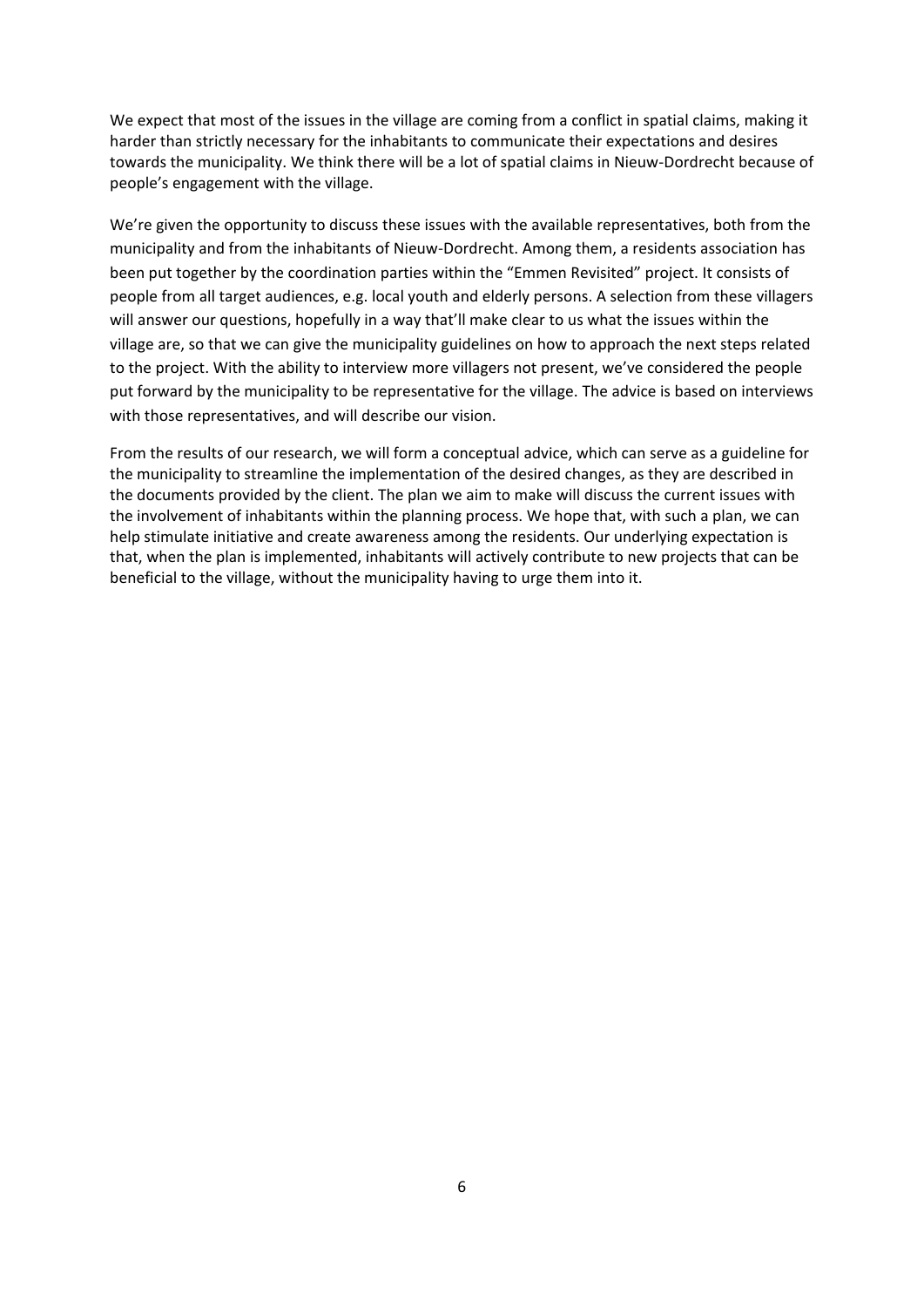We expect that most of the issues in the village are coming from a conflict in spatial claims, making it harder than strictly necessary for the inhabitants to communicate their expectations and desires towards the municipality. We think there will be a lot of spatial claims in Nieuw-Dordrecht because of people's engagement with the village.

We're given the opportunity to discuss these issues with the available representatives, both from the municipality and from the inhabitants of Nieuw-Dordrecht. Among them, a residents association has been put together by the coordination parties within the "Emmen Revisited" project. It consists of people from all target audiences, e.g. local youth and elderly persons. A selection from these villagers will answer our questions, hopefully in a way that'll make clear to us what the issues within the village are, so that we can give the municipality guidelines on how to approach the next steps related to the project. With the ability to interview more villagers not present, we've considered the people put forward by the municipality to be representative for the village. The advice is based on interviews with those representatives, and will describe our vision.

From the results of our research, we will form a conceptual advice, which can serve as a guideline for the municipality to streamline the implementation of the desired changes, as they are described in the documents provided by the client. The plan we aim to make will discuss the current issues with the involvement of inhabitants within the planning process. We hope that, with such a plan, we can help stimulate initiative and create awareness among the residents. Our underlying expectation is that, when the plan is implemented, inhabitants will actively contribute to new projects that can be beneficial to the village, without the municipality having to urge them into it.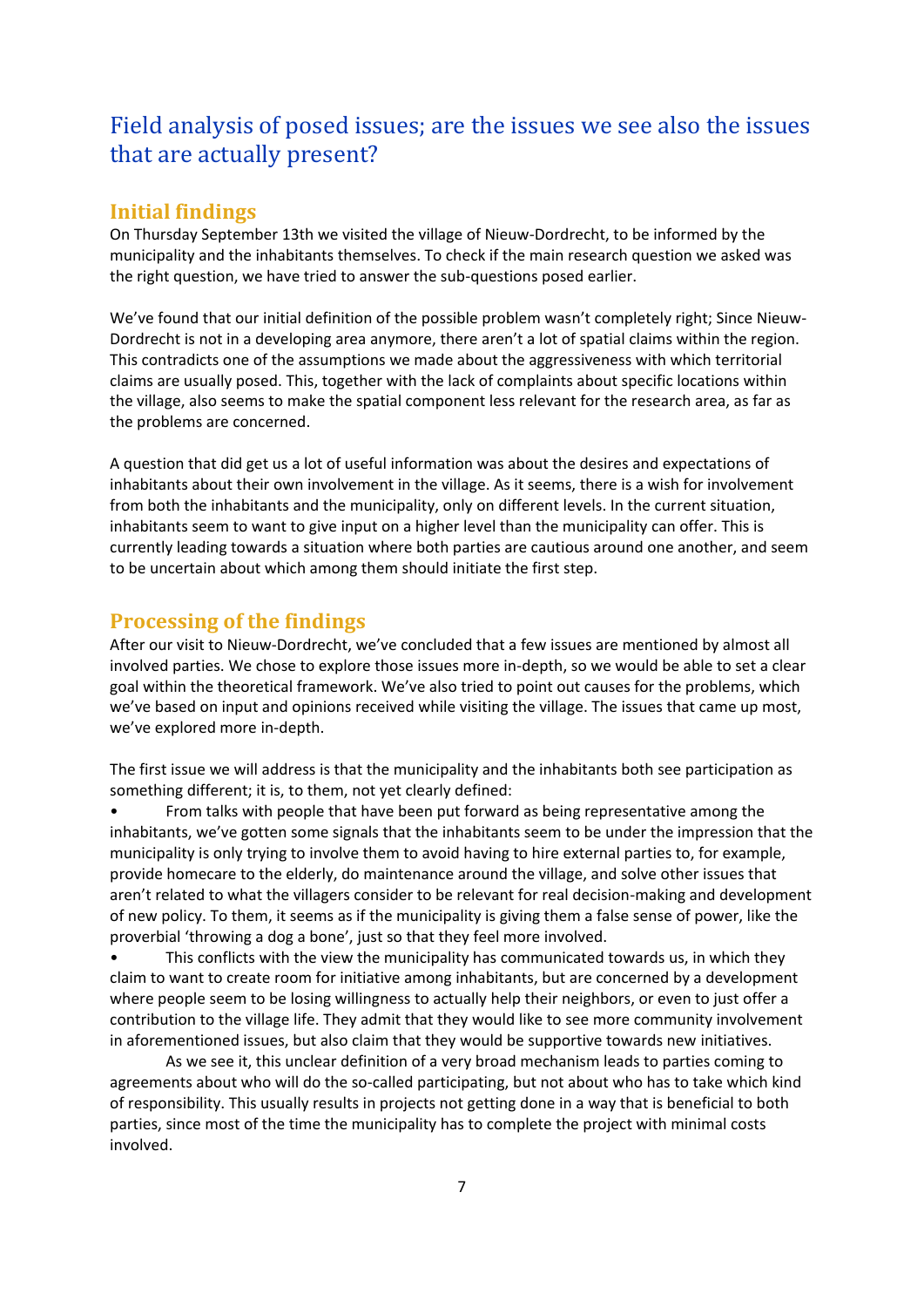# <span id="page-5-0"></span>Field analysis of posed issues; are the issues we see also the issues that are actually present?

### <span id="page-5-1"></span>**Initial findings**

On Thursday September 13th we visited the village of Nieuw-Dordrecht, to be informed by the municipality and the inhabitants themselves. To check if the main research question we asked was the right question, we have tried to answer the sub-questions posed earlier.

We've found that our initial definition of the possible problem wasn't completely right; Since Nieuw-Dordrecht is not in a developing area anymore, there aren't a lot of spatial claims within the region. This contradicts one of the assumptions we made about the aggressiveness with which territorial claims are usually posed. This, together with the lack of complaints about specific locations within the village, also seems to make the spatial component less relevant for the research area, as far as the problems are concerned.

A question that did get us a lot of useful information was about the desires and expectations of inhabitants about their own involvement in the village. As it seems, there is a wish for involvement from both the inhabitants and the municipality, only on different levels. In the current situation, inhabitants seem to want to give input on a higher level than the municipality can offer. This is currently leading towards a situation where both parties are cautious around one another, and seem to be uncertain about which among them should initiate the first step.

### <span id="page-5-2"></span>**Processing of the findings**

After our visit to Nieuw-Dordrecht, we've concluded that a few issues are mentioned by almost all involved parties. We chose to explore those issues more in-depth, so we would be able to set a clear goal within the theoretical framework. We've also tried to point out causes for the problems, which we've based on input and opinions received while visiting the village. The issues that came up most, we've explored more in-depth.

The first issue we will address is that the municipality and the inhabitants both see participation as something different; it is, to them, not yet clearly defined:

• From talks with people that have been put forward as being representative among the inhabitants, we've gotten some signals that the inhabitants seem to be under the impression that the municipality is only trying to involve them to avoid having to hire external parties to, for example, provide homecare to the elderly, do maintenance around the village, and solve other issues that aren't related to what the villagers consider to be relevant for real decision-making and development of new policy. To them, it seems as if the municipality is giving them a false sense of power, like the proverbial 'throwing a dog a bone', just so that they feel more involved.

This conflicts with the view the municipality has communicated towards us, in which they claim to want to create room for initiative among inhabitants, but are concerned by a development where people seem to be losing willingness to actually help their neighbors, or even to just offer a contribution to the village life. They admit that they would like to see more community involvement in aforementioned issues, but also claim that they would be supportive towards new initiatives.

As we see it, this unclear definition of a very broad mechanism leads to parties coming to agreements about who will do the so-called participating, but not about who has to take which kind of responsibility. This usually results in projects not getting done in a way that is beneficial to both parties, since most of the time the municipality has to complete the project with minimal costs involved.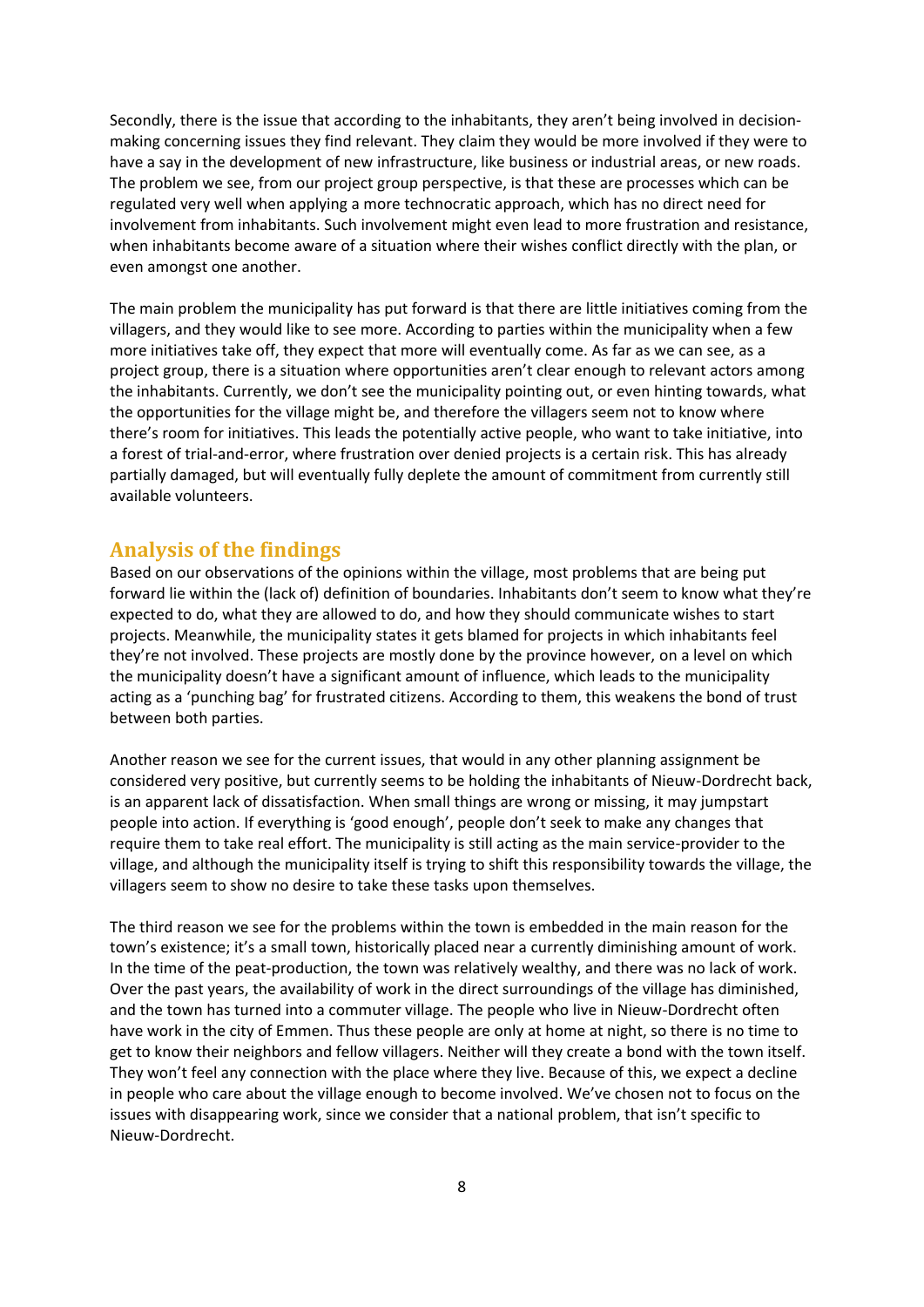Secondly, there is the issue that according to the inhabitants, they aren't being involved in decisionmaking concerning issues they find relevant. They claim they would be more involved if they were to have a say in the development of new infrastructure, like business or industrial areas, or new roads. The problem we see, from our project group perspective, is that these are processes which can be regulated very well when applying a more technocratic approach, which has no direct need for involvement from inhabitants. Such involvement might even lead to more frustration and resistance, when inhabitants become aware of a situation where their wishes conflict directly with the plan, or even amongst one another.

The main problem the municipality has put forward is that there are little initiatives coming from the villagers, and they would like to see more. According to parties within the municipality when a few more initiatives take off, they expect that more will eventually come. As far as we can see, as a project group, there is a situation where opportunities aren't clear enough to relevant actors among the inhabitants. Currently, we don't see the municipality pointing out, or even hinting towards, what the opportunities for the village might be, and therefore the villagers seem not to know where there's room for initiatives. This leads the potentially active people, who want to take initiative, into a forest of trial-and-error, where frustration over denied projects is a certain risk. This has already partially damaged, but will eventually fully deplete the amount of commitment from currently still available volunteers.

#### <span id="page-6-0"></span>**Analysis of the findings**

Based on our observations of the opinions within the village, most problems that are being put forward lie within the (lack of) definition of boundaries. Inhabitants don't seem to know what they're expected to do, what they are allowed to do, and how they should communicate wishes to start projects. Meanwhile, the municipality states it gets blamed for projects in which inhabitants feel they're not involved. These projects are mostly done by the province however, on a level on which the municipality doesn't have a significant amount of influence, which leads to the municipality acting as a 'punching bag' for frustrated citizens. According to them, this weakens the bond of trust between both parties.

Another reason we see for the current issues, that would in any other planning assignment be considered very positive, but currently seems to be holding the inhabitants of Nieuw-Dordrecht back, is an apparent lack of dissatisfaction. When small things are wrong or missing, it may jumpstart people into action. If everything is 'good enough', people don't seek to make any changes that require them to take real effort. The municipality is still acting as the main service-provider to the village, and although the municipality itself is trying to shift this responsibility towards the village, the villagers seem to show no desire to take these tasks upon themselves.

The third reason we see for the problems within the town is embedded in the main reason for the town's existence; it's a small town, historically placed near a currently diminishing amount of work. In the time of the peat-production, the town was relatively wealthy, and there was no lack of work. Over the past years, the availability of work in the direct surroundings of the village has diminished, and the town has turned into a commuter village. The people who live in Nieuw-Dordrecht often have work in the city of Emmen. Thus these people are only at home at night, so there is no time to get to know their neighbors and fellow villagers. Neither will they create a bond with the town itself. They won't feel any connection with the place where they live. Because of this, we expect a decline in people who care about the village enough to become involved. We've chosen not to focus on the issues with disappearing work, since we consider that a national problem, that isn't specific to Nieuw-Dordrecht.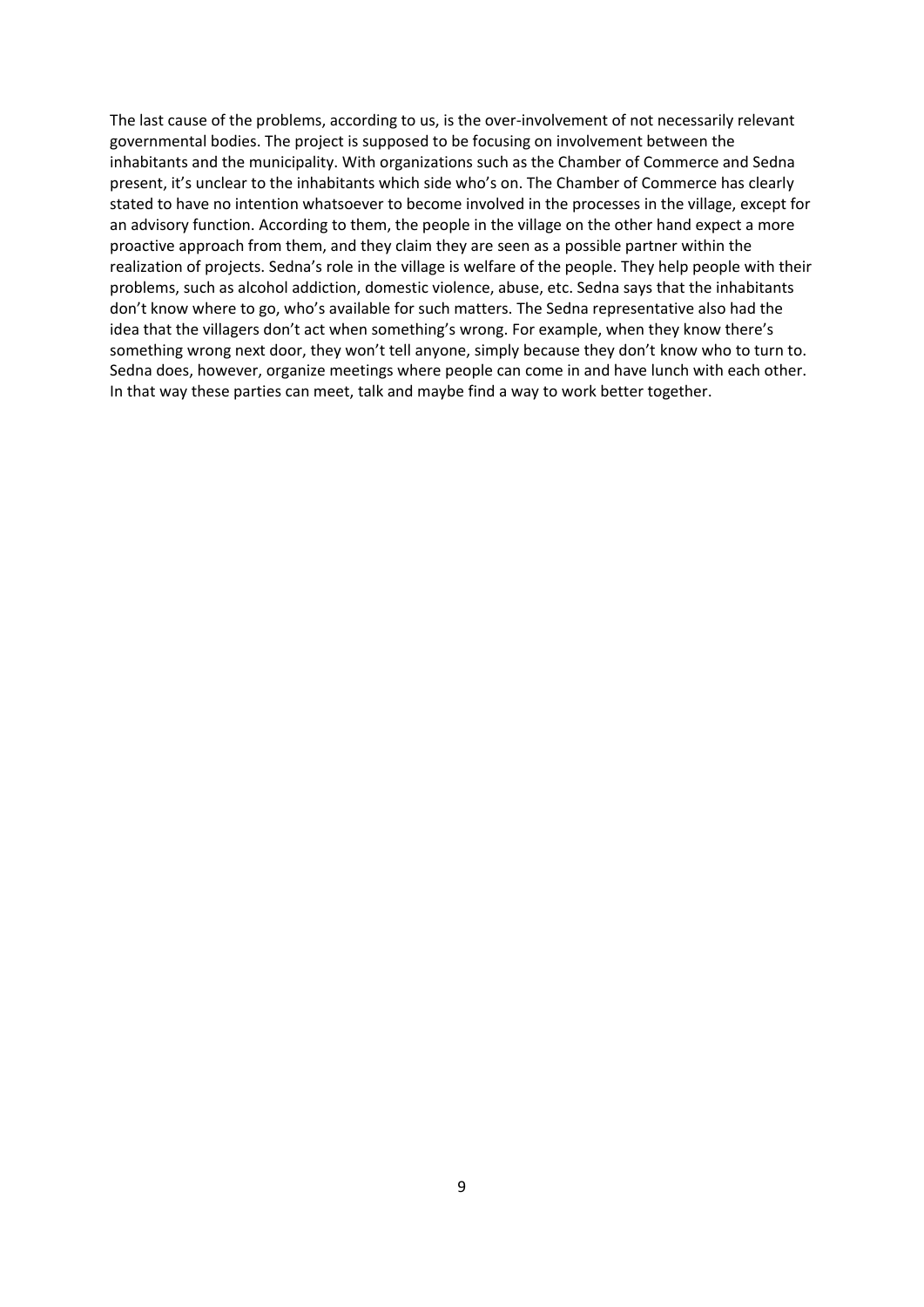The last cause of the problems, according to us, is the over-involvement of not necessarily relevant governmental bodies. The project is supposed to be focusing on involvement between the inhabitants and the municipality. With organizations such as the Chamber of Commerce and Sedna present, it's unclear to the inhabitants which side who's on. The Chamber of Commerce has clearly stated to have no intention whatsoever to become involved in the processes in the village, except for an advisory function. According to them, the people in the village on the other hand expect a more proactive approach from them, and they claim they are seen as a possible partner within the realization of projects. Sedna's role in the village is welfare of the people. They help people with their problems, such as alcohol addiction, domestic violence, abuse, etc. Sedna says that the inhabitants don't know where to go, who's available for such matters. The Sedna representative also had the idea that the villagers don't act when something's wrong. For example, when they know there's something wrong next door, they won't tell anyone, simply because they don't know who to turn to. Sedna does, however, organize meetings where people can come in and have lunch with each other. In that way these parties can meet, talk and maybe find a way to work better together.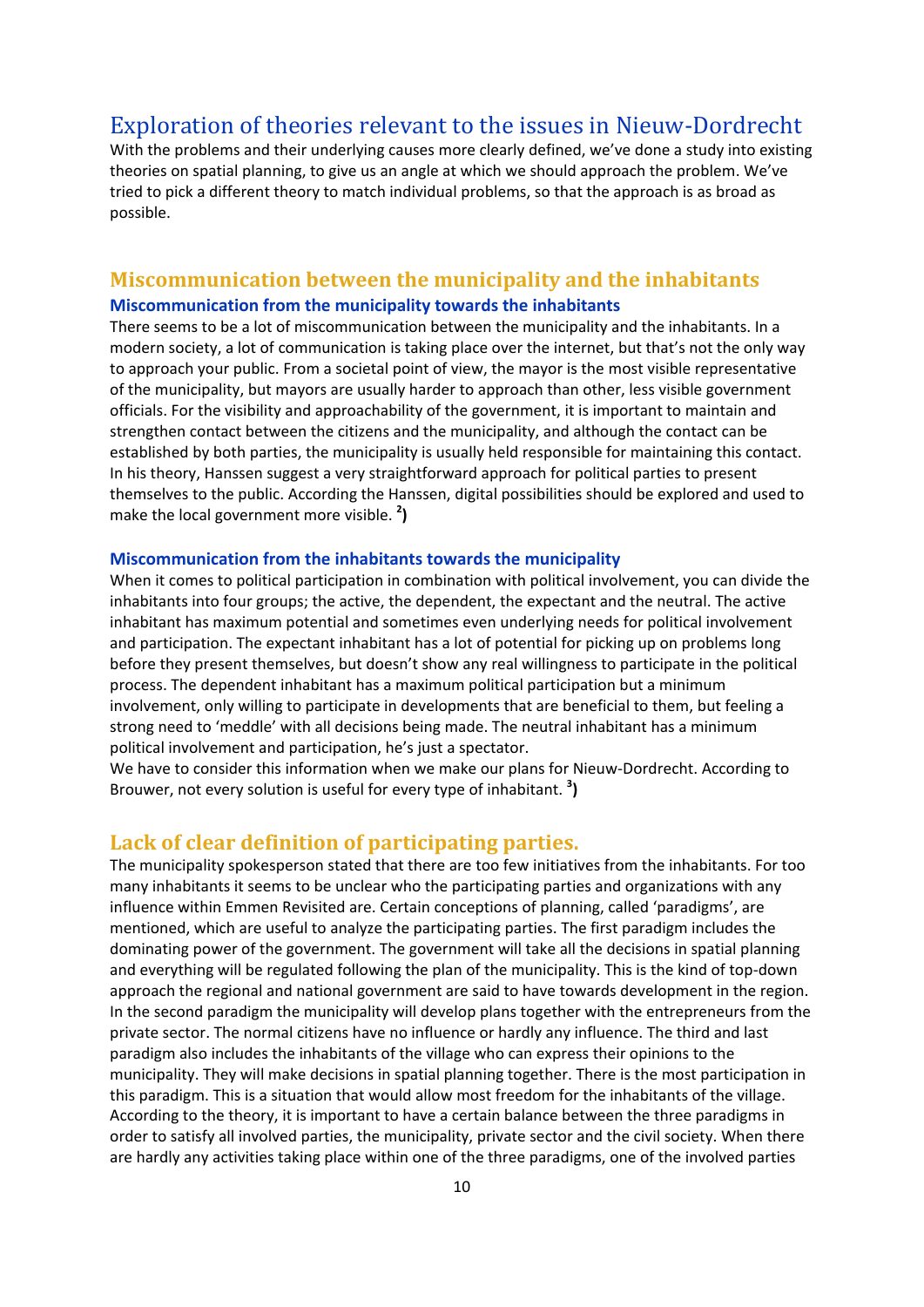### <span id="page-8-0"></span>Exploration of theories relevant to the issues in Nieuw-Dordrecht

With the problems and their underlying causes more clearly defined, we've done a study into existing theories on spatial planning, to give us an angle at which we should approach the problem. We've tried to pick a different theory to match individual problems, so that the approach is as broad as possible.

#### <span id="page-8-2"></span><span id="page-8-1"></span>**Miscommunication between the municipality and the inhabitants Miscommunication from the municipality towards the inhabitants**

There seems to be a lot of miscommunication between the municipality and the inhabitants. In a modern society, a lot of communication is taking place over the internet, but that's not the only way to approach your public. From a societal point of view, the mayor is the most visible representative of the municipality, but mayors are usually harder to approach than other, less visible government officials. For the visibility and approachability of the government, it is important to maintain and strengthen contact between the citizens and the municipality, and although the contact can be established by both parties, the municipality is usually held responsible for maintaining this contact. In his theory, Hanssen suggest a very straightforward approach for political parties to present themselves to the public. According the Hanssen, digital possibilities should be explored and used to make the local government more visible. **<sup>2</sup> )**

#### <span id="page-8-3"></span>**Miscommunication from the inhabitants towards the municipality**

When it comes to political participation in combination with political involvement, you can divide the inhabitants into four groups; the active, the dependent, the expectant and the neutral. The active inhabitant has maximum potential and sometimes even underlying needs for political involvement and participation. The expectant inhabitant has a lot of potential for picking up on problems long before they present themselves, but doesn't show any real willingness to participate in the political process. The dependent inhabitant has a maximum political participation but a minimum involvement, only willing to participate in developments that are beneficial to them, but feeling a strong need to 'meddle' with all decisions being made. The neutral inhabitant has a minimum political involvement and participation, he's just a spectator.

We have to consider this information when we make our plans for Nieuw-Dordrecht. According to Brouwer, not every solution is useful for every type of inhabitant. **<sup>3</sup> )**

#### <span id="page-8-4"></span>**Lack of clear definition of participating parties.**

The municipality spokesperson stated that there are too few initiatives from the inhabitants. For too many inhabitants it seems to be unclear who the participating parties and organizations with any influence within Emmen Revisited are. Certain conceptions of planning, called 'paradigms', are mentioned, which are useful to analyze the participating parties. The first paradigm includes the dominating power of the government. The government will take all the decisions in spatial planning and everything will be regulated following the plan of the municipality. This is the kind of top-down approach the regional and national government are said to have towards development in the region. In the second paradigm the municipality will develop plans together with the entrepreneurs from the private sector. The normal citizens have no influence or hardly any influence. The third and last paradigm also includes the inhabitants of the village who can express their opinions to the municipality. They will make decisions in spatial planning together. There is the most participation in this paradigm. This is a situation that would allow most freedom for the inhabitants of the village. According to the theory, it is important to have a certain balance between the three paradigms in order to satisfy all involved parties, the municipality, private sector and the civil society. When there are hardly any activities taking place within one of the three paradigms, one of the involved parties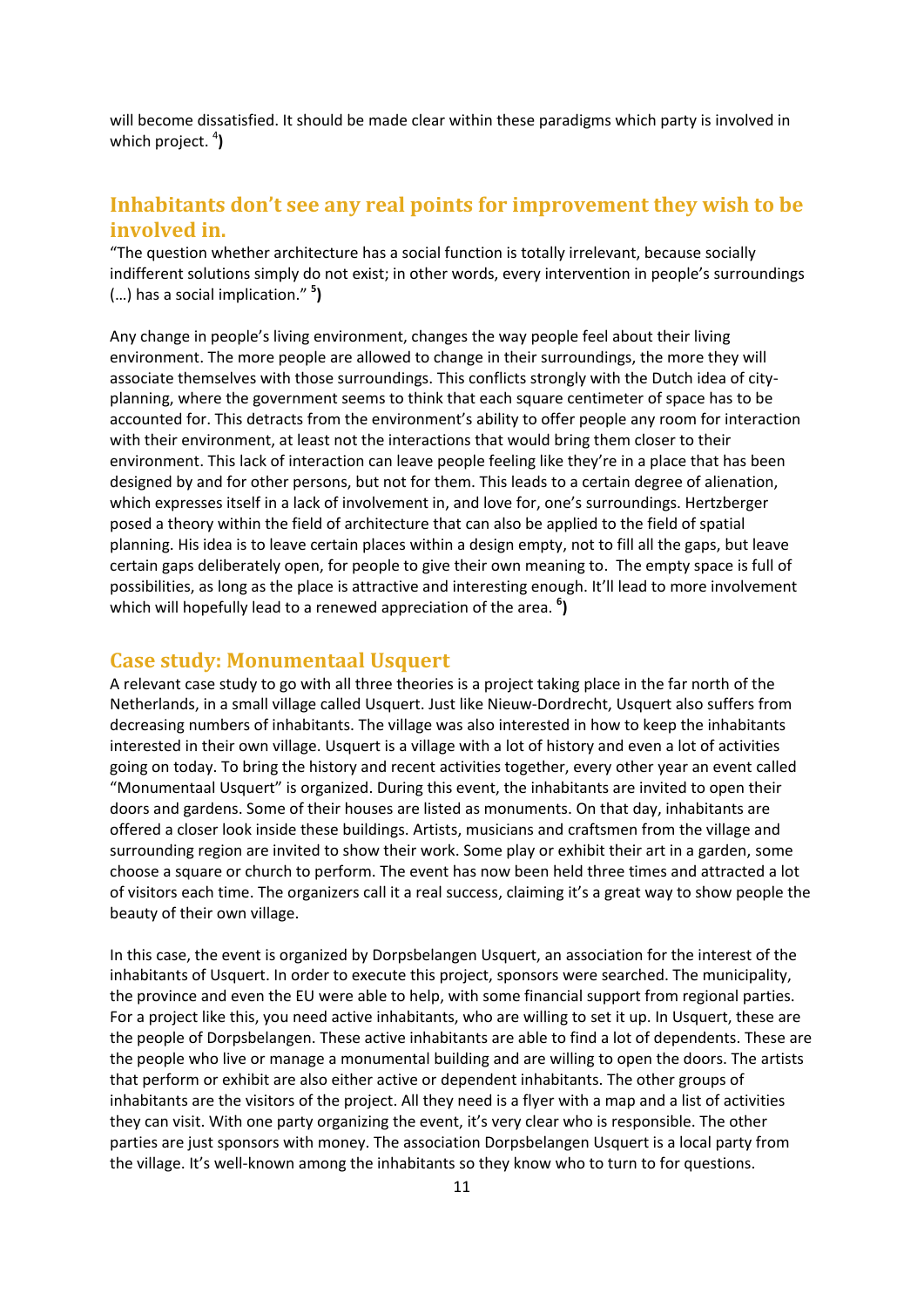will become dissatisfied. It should be made clear within these paradigms which party is involved in which project.<sup>4</sup>)

### <span id="page-9-0"></span>**Inhabitants don't see any real points for improvement they wish to be involved in.**

"The question whether architecture has a social function is totally irrelevant, because socially indifferent solutions simply do not exist; in other words, every intervention in people's surroundings (…) has a social implication." **<sup>5</sup> )**

Any change in people's living environment, changes the way people feel about their living environment. The more people are allowed to change in their surroundings, the more they will associate themselves with those surroundings. This conflicts strongly with the Dutch idea of cityplanning, where the government seems to think that each square centimeter of space has to be accounted for. This detracts from the environment's ability to offer people any room for interaction with their environment, at least not the interactions that would bring them closer to their environment. This lack of interaction can leave people feeling like they're in a place that has been designed by and for other persons, but not for them. This leads to a certain degree of alienation, which expresses itself in a lack of involvement in, and love for, one's surroundings. Hertzberger posed a theory within the field of architecture that can also be applied to the field of spatial planning. His idea is to leave certain places within a design empty, not to fill all the gaps, but leave certain gaps deliberately open, for people to give their own meaning to. The empty space is full of possibilities, as long as the place is attractive and interesting enough. It'll lead to more involvement which will hopefully lead to a renewed appreciation of the area. <sup>6</sup>)

#### <span id="page-9-1"></span>**Case study: Monumentaal Usquert**

A relevant case study to go with all three theories is a project taking place in the far north of the Netherlands, in a small village called Usquert. Just like Nieuw-Dordrecht, Usquert also suffers from decreasing numbers of inhabitants. The village was also interested in how to keep the inhabitants interested in their own village. Usquert is a village with a lot of history and even a lot of activities going on today. To bring the history and recent activities together, every other year an event called "Monumentaal Usquert" is organized. During this event, the inhabitants are invited to open their doors and gardens. Some of their houses are listed as monuments. On that day, inhabitants are offered a closer look inside these buildings. Artists, musicians and craftsmen from the village and surrounding region are invited to show their work. Some play or exhibit their art in a garden, some choose a square or church to perform. The event has now been held three times and attracted a lot of visitors each time. The organizers call it a real success, claiming it's a great way to show people the beauty of their own village.

In this case, the event is organized by Dorpsbelangen Usquert, an association for the interest of the inhabitants of Usquert. In order to execute this project, sponsors were searched. The municipality, the province and even the EU were able to help, with some financial support from regional parties. For a project like this, you need active inhabitants, who are willing to set it up. In Usquert, these are the people of Dorpsbelangen. These active inhabitants are able to find a lot of dependents. These are the people who live or manage a monumental building and are willing to open the doors. The artists that perform or exhibit are also either active or dependent inhabitants. The other groups of inhabitants are the visitors of the project. All they need is a flyer with a map and a list of activities they can visit. With one party organizing the event, it's very clear who is responsible. The other parties are just sponsors with money. The association Dorpsbelangen Usquert is a local party from the village. It's well-known among the inhabitants so they know who to turn to for questions.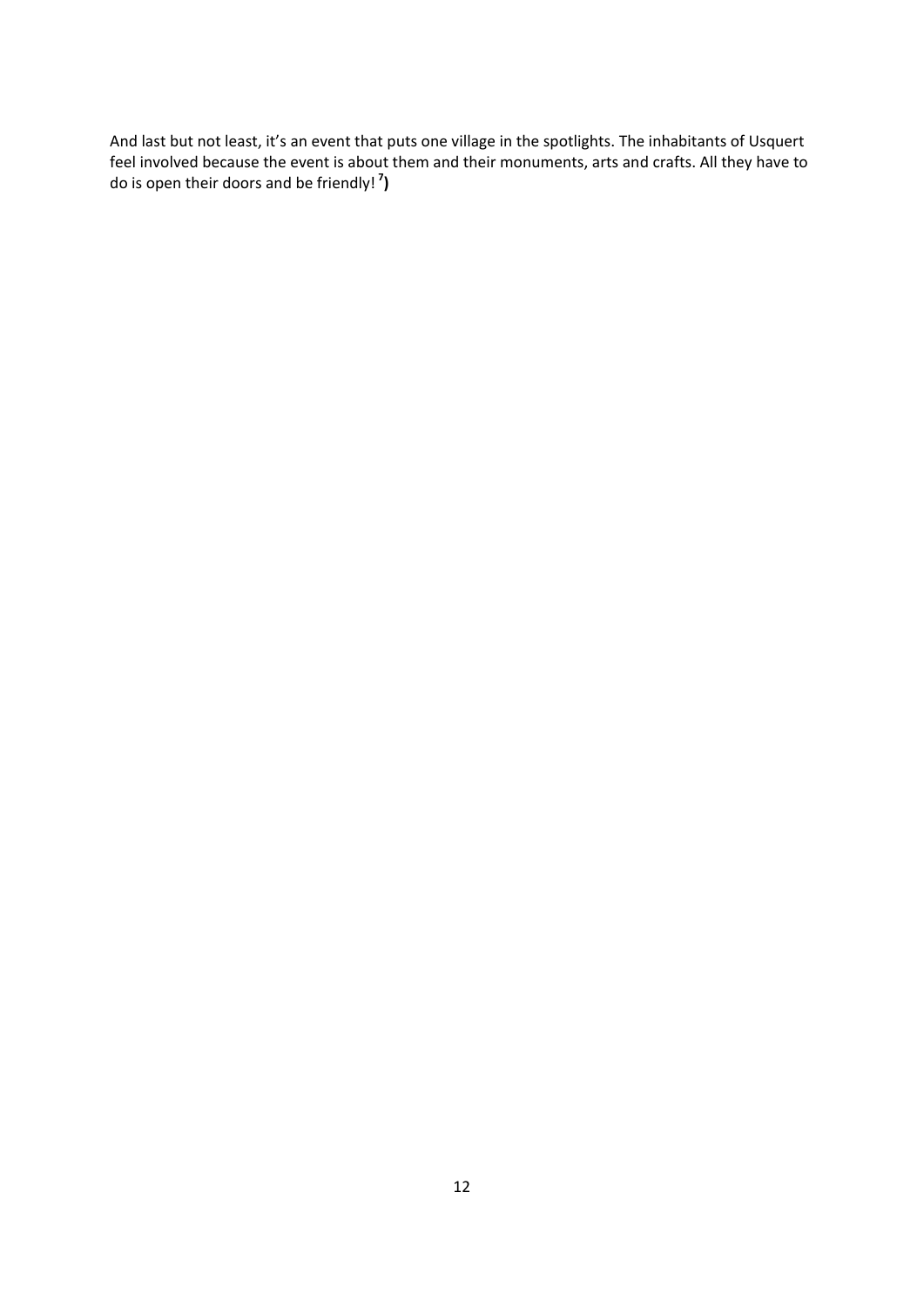And last but not least, it's an event that puts one village in the spotlights. The inhabitants of Usquert feel involved because the event is about them and their monuments, arts and crafts. All they have to do is open their doors and be friendly! **<sup>7</sup> )**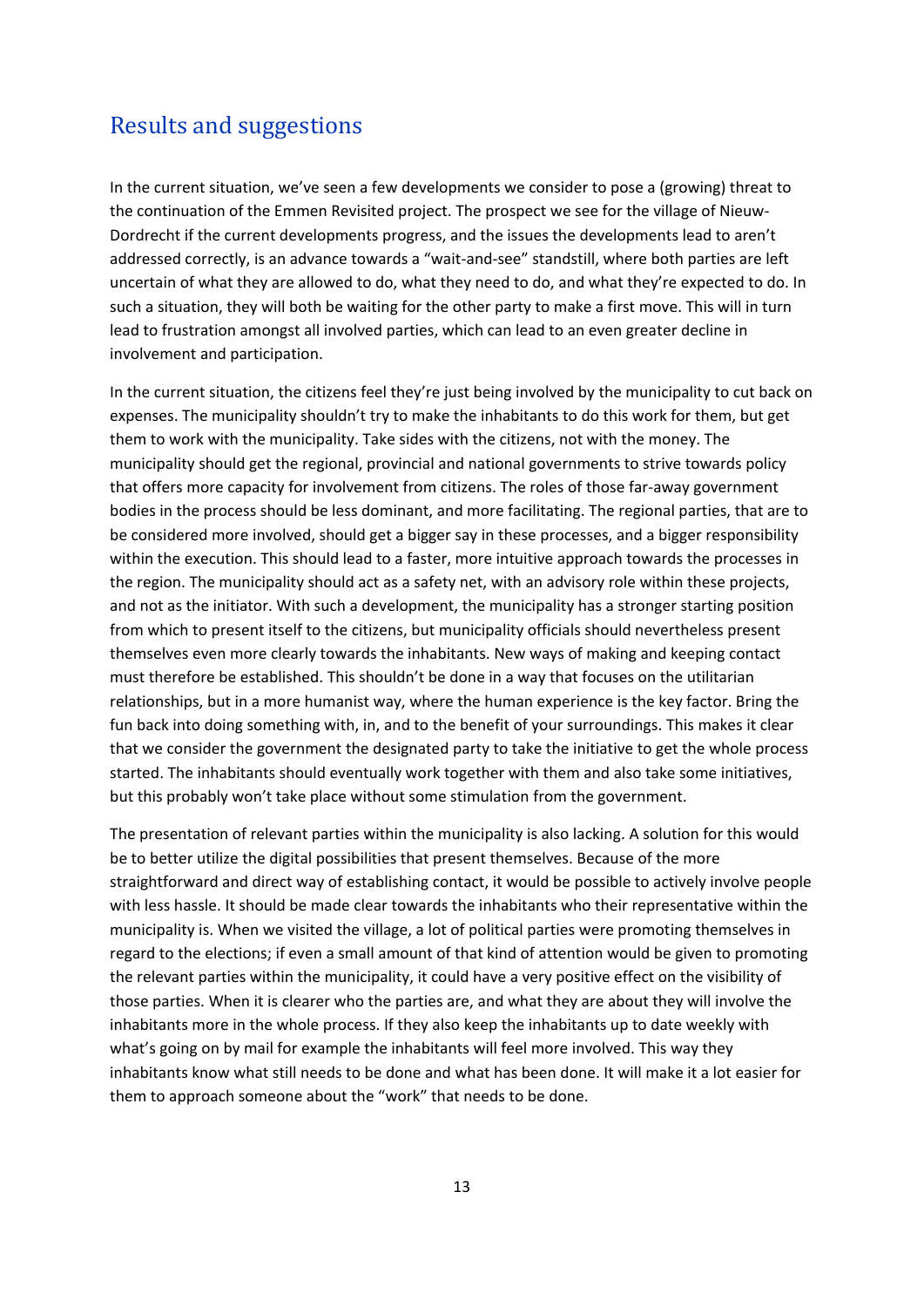### <span id="page-11-0"></span>Results and suggestions

In the current situation, we've seen a few developments we consider to pose a (growing) threat to the continuation of the Emmen Revisited project. The prospect we see for the village of Nieuw-Dordrecht if the current developments progress, and the issues the developments lead to aren't addressed correctly, is an advance towards a "wait-and-see" standstill, where both parties are left uncertain of what they are allowed to do, what they need to do, and what they're expected to do. In such a situation, they will both be waiting for the other party to make a first move. This will in turn lead to frustration amongst all involved parties, which can lead to an even greater decline in involvement and participation.

In the current situation, the citizens feel they're just being involved by the municipality to cut back on expenses. The municipality shouldn't try to make the inhabitants to do this work for them, but get them to work with the municipality. Take sides with the citizens, not with the money. The municipality should get the regional, provincial and national governments to strive towards policy that offers more capacity for involvement from citizens. The roles of those far-away government bodies in the process should be less dominant, and more facilitating. The regional parties, that are to be considered more involved, should get a bigger say in these processes, and a bigger responsibility within the execution. This should lead to a faster, more intuitive approach towards the processes in the region. The municipality should act as a safety net, with an advisory role within these projects, and not as the initiator. With such a development, the municipality has a stronger starting position from which to present itself to the citizens, but municipality officials should nevertheless present themselves even more clearly towards the inhabitants. New ways of making and keeping contact must therefore be established. This shouldn't be done in a way that focuses on the utilitarian relationships, but in a more humanist way, where the human experience is the key factor. Bring the fun back into doing something with, in, and to the benefit of your surroundings. This makes it clear that we consider the government the designated party to take the initiative to get the whole process started. The inhabitants should eventually work together with them and also take some initiatives, but this probably won't take place without some stimulation from the government.

The presentation of relevant parties within the municipality is also lacking. A solution for this would be to better utilize the digital possibilities that present themselves. Because of the more straightforward and direct way of establishing contact, it would be possible to actively involve people with less hassle. It should be made clear towards the inhabitants who their representative within the municipality is. When we visited the village, a lot of political parties were promoting themselves in regard to the elections; if even a small amount of that kind of attention would be given to promoting the relevant parties within the municipality, it could have a very positive effect on the visibility of those parties. When it is clearer who the parties are, and what they are about they will involve the inhabitants more in the whole process. If they also keep the inhabitants up to date weekly with what's going on by mail for example the inhabitants will feel more involved. This way they inhabitants know what still needs to be done and what has been done. It will make it a lot easier for them to approach someone about the "work" that needs to be done.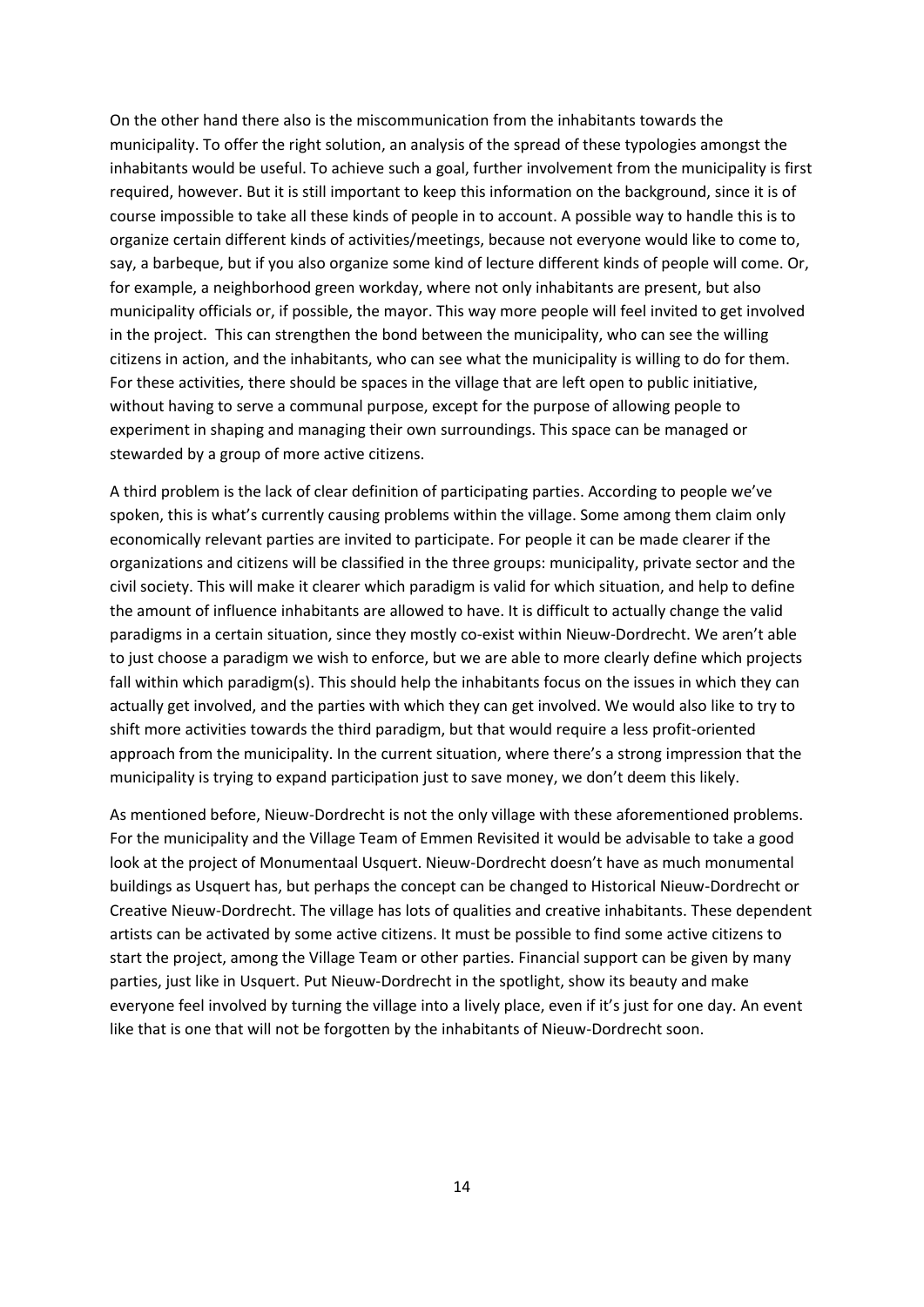On the other hand there also is the miscommunication from the inhabitants towards the municipality. To offer the right solution, an analysis of the spread of these typologies amongst the inhabitants would be useful. To achieve such a goal, further involvement from the municipality is first required, however. But it is still important to keep this information on the background, since it is of course impossible to take all these kinds of people in to account. A possible way to handle this is to organize certain different kinds of activities/meetings, because not everyone would like to come to, say, a barbeque, but if you also organize some kind of lecture different kinds of people will come. Or, for example, a neighborhood green workday, where not only inhabitants are present, but also municipality officials or, if possible, the mayor. This way more people will feel invited to get involved in the project. This can strengthen the bond between the municipality, who can see the willing citizens in action, and the inhabitants, who can see what the municipality is willing to do for them. For these activities, there should be spaces in the village that are left open to public initiative, without having to serve a communal purpose, except for the purpose of allowing people to experiment in shaping and managing their own surroundings. This space can be managed or stewarded by a group of more active citizens.

A third problem is the lack of clear definition of participating parties. According to people we've spoken, this is what's currently causing problems within the village. Some among them claim only economically relevant parties are invited to participate. For people it can be made clearer if the organizations and citizens will be classified in the three groups: municipality, private sector and the civil society. This will make it clearer which paradigm is valid for which situation, and help to define the amount of influence inhabitants are allowed to have. It is difficult to actually change the valid paradigms in a certain situation, since they mostly co-exist within Nieuw-Dordrecht. We aren't able to just choose a paradigm we wish to enforce, but we are able to more clearly define which projects fall within which paradigm(s). This should help the inhabitants focus on the issues in which they can actually get involved, and the parties with which they can get involved. We would also like to try to shift more activities towards the third paradigm, but that would require a less profit-oriented approach from the municipality. In the current situation, where there's a strong impression that the municipality is trying to expand participation just to save money, we don't deem this likely.

As mentioned before, Nieuw-Dordrecht is not the only village with these aforementioned problems. For the municipality and the Village Team of Emmen Revisited it would be advisable to take a good look at the project of Monumentaal Usquert. Nieuw-Dordrecht doesn't have as much monumental buildings as Usquert has, but perhaps the concept can be changed to Historical Nieuw-Dordrecht or Creative Nieuw-Dordrecht. The village has lots of qualities and creative inhabitants. These dependent artists can be activated by some active citizens. It must be possible to find some active citizens to start the project, among the Village Team or other parties. Financial support can be given by many parties, just like in Usquert. Put Nieuw-Dordrecht in the spotlight, show its beauty and make everyone feel involved by turning the village into a lively place, even if it's just for one day. An event like that is one that will not be forgotten by the inhabitants of Nieuw-Dordrecht soon.